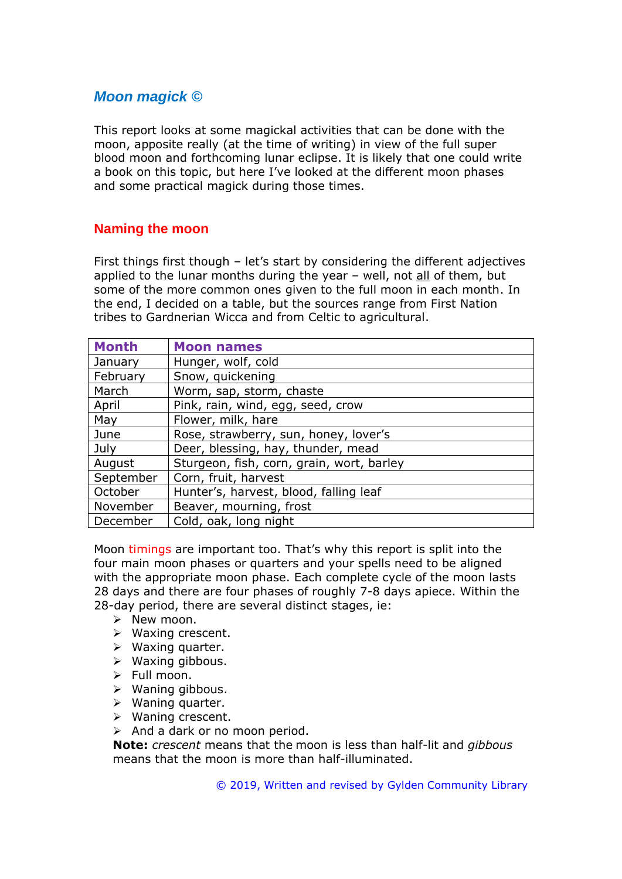# *Moon magick ©*

This report looks at some magickal activities that can be done with the moon, apposite really (at the time of writing) in view of the full super blood moon and forthcoming lunar eclipse. It is likely that one could write a book on this topic, but here I've looked at the different moon phases and some practical magick during those times.

## **Naming the moon**

First things first though – let's start by considering the different adjectives applied to the lunar months during the year  $-$  well, not all of them, but some of the more common ones given to the full moon in each month. In the end, I decided on a table, but the sources range from First Nation tribes to Gardnerian Wicca and from Celtic to agricultural.

| <b>Month</b> | <b>Moon names</b>                         |
|--------------|-------------------------------------------|
| January      | Hunger, wolf, cold                        |
| February     | Snow, quickening                          |
| March        | Worm, sap, storm, chaste                  |
| April        | Pink, rain, wind, egg, seed, crow         |
| May          | Flower, milk, hare                        |
| June         | Rose, strawberry, sun, honey, lover's     |
| July         | Deer, blessing, hay, thunder, mead        |
| August       | Sturgeon, fish, corn, grain, wort, barley |
| September    | Corn, fruit, harvest                      |
| October      | Hunter's, harvest, blood, falling leaf    |
| November     | Beaver, mourning, frost                   |
| December     | Cold, oak, long night                     |

Moon timings are important too. That's why this report is split into the four main moon phases or quarters and your spells need to be aligned with the appropriate moon phase. Each complete cycle of the moon lasts 28 days and there are four phases of roughly 7-8 days apiece. Within the 28-day period, there are several distinct stages, ie:

- ➢ New moon.
- ➢ Waxing crescent.
- ➢ Waxing quarter.
- ➢ Waxing gibbous.
- ➢ Full moon.
- ➢ Waning gibbous.
- ➢ Waning quarter.
- ➢ Waning crescent.
- ➢ And a dark or no moon period.

**Note:** *crescent* means that the moon is less than half-lit and *gibbous*  means that the moon is more than half-illuminated.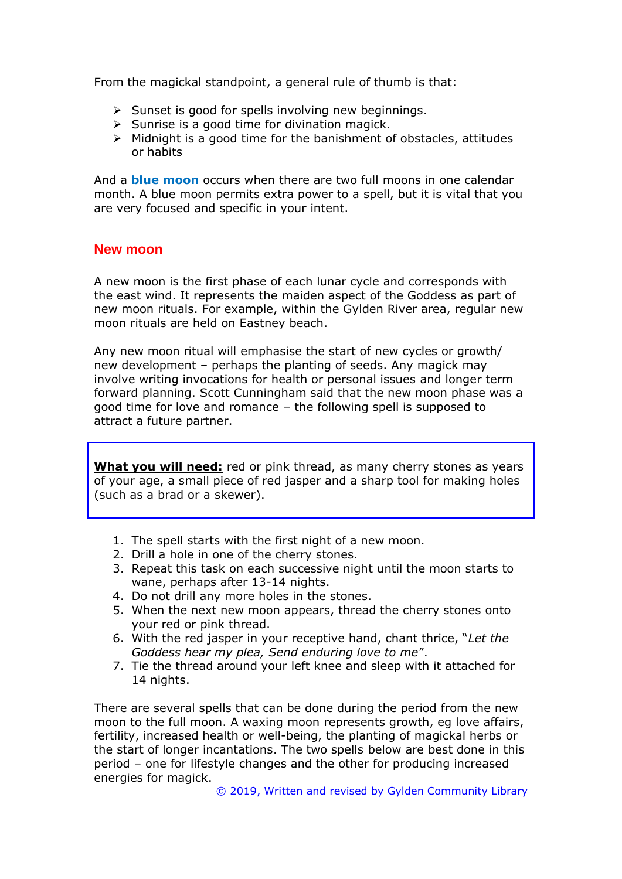From the magickal standpoint, a general rule of thumb is that:

- ➢ Sunset is good for spells involving new beginnings.
- $\triangleright$  Sunrise is a good time for divination magick.
- $\triangleright$  Midnight is a good time for the banishment of obstacles, attitudes or habits

And a **blue moon** occurs when there are two full moons in one calendar month. A blue moon permits extra power to a spell, but it is vital that you are very focused and specific in your intent.

#### **New moon**

A new moon is the first phase of each lunar cycle and corresponds with the east wind. It represents the maiden aspect of the Goddess as part of new moon rituals. For example, within the Gylden River area, regular new moon rituals are held on Eastney beach.

Any new moon ritual will emphasise the start of new cycles or growth/ new development – perhaps the planting of seeds. Any magick may involve writing invocations for health or personal issues and longer term forward planning. Scott Cunningham said that the new moon phase was a good time for love and romance – the following spell is supposed to attract a future partner.

**What you will need:** red or pink thread, as many cherry stones as years of your age, a small piece of red jasper and a sharp tool for making holes (such as a brad or a skewer).

- 1. The spell starts with the first night of a new moon.
- 2. Drill a hole in one of the cherry stones.
- 3. Repeat this task on each successive night until the moon starts to wane, perhaps after 13-14 nights.
- 4. Do not drill any more holes in the stones.
- 5. When the next new moon appears, thread the cherry stones onto your red or pink thread.
- 6. With the red jasper in your receptive hand, chant thrice, "*Let the Goddess hear my plea, Send enduring love to me*".
- 7. Tie the thread around your left knee and sleep with it attached for 14 nights.

There are several spells that can be done during the period from the new moon to the full moon. A waxing moon represents growth, eg love affairs, fertility, increased health or well-being, the planting of magickal herbs or the start of longer incantations. The two spells below are best done in this period – one for lifestyle changes and the other for producing increased energies for magick.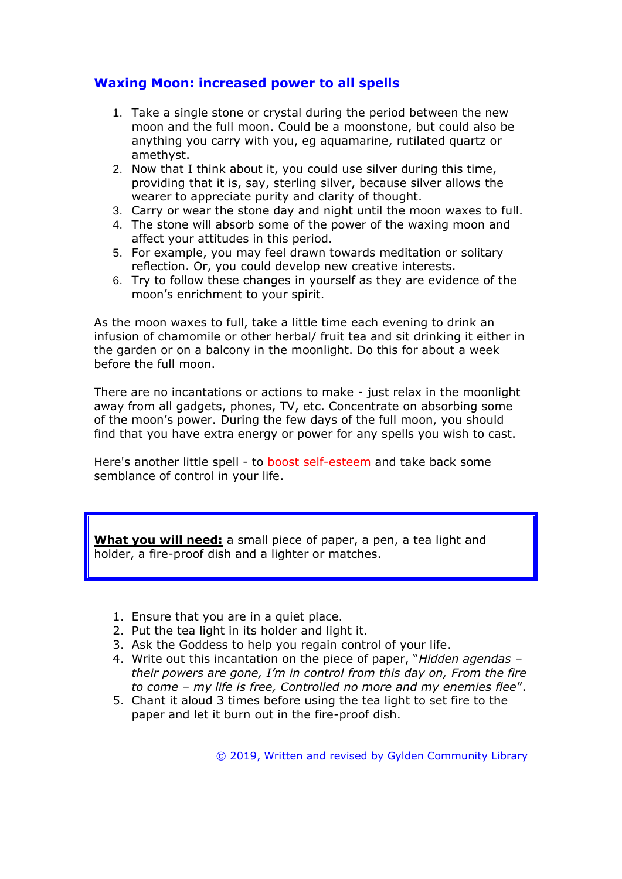### **Waxing Moon: increased power to all spells**

- 1. Take a single stone or crystal during the period between the new moon and the full moon. Could be a moonstone, but could also be anything you carry with you, eg aquamarine, rutilated quartz or amethyst.
- 2. Now that I think about it, you could use silver during this time, providing that it is, say, sterling silver, because silver allows the wearer to appreciate purity and clarity of thought.
- 3. Carry or wear the stone day and night until the moon waxes to full.
- 4. The stone will absorb some of the power of the waxing moon and affect your attitudes in this period.
- 5. For example, you may feel drawn towards meditation or solitary reflection. Or, you could develop new creative interests.
- 6. Try to follow these changes in yourself as they are evidence of the moon's enrichment to your spirit.

As the moon waxes to full, take a little time each evening to drink an infusion of chamomile or other herbal/ fruit tea and sit drinking it either in the garden or on a balcony in the moonlight. Do this for about a week before the full moon.

There are no incantations or actions to make - just relax in the moonlight away from all gadgets, phones, TV, etc. Concentrate on absorbing some of the moon's power. During the few days of the full moon, you should find that you have extra energy or power for any spells you wish to cast.

Here's another little spell - to boost self-esteem and take back some semblance of control in your life.

**What you will need:** a small piece of paper, a pen, a tea light and holder, a fire-proof dish and a lighter or matches.

- 1. Ensure that you are in a quiet place.
- 2. Put the tea light in its holder and light it.
- 3. Ask the Goddess to help you regain control of your life.
- 4. Write out this incantation on the piece of paper, "*Hidden agendas – their powers are gone, I'm in control from this day on, From the fire to come – my life is free, Controlled no more and my enemies flee*".
- 5. Chant it aloud 3 times before using the tea light to set fire to the paper and let it burn out in the fire-proof dish.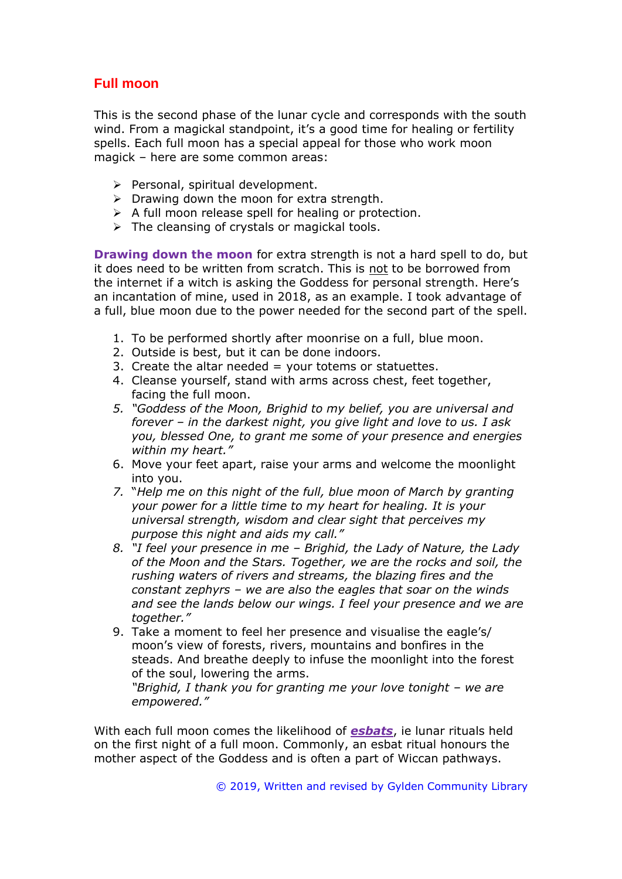## **Full moon**

This is the second phase of the lunar cycle and corresponds with the south wind. From a magickal standpoint, it's a good time for healing or fertility spells. Each full moon has a special appeal for those who work moon magick – here are some common areas:

- ➢ Personal, spiritual development.
- $\triangleright$  Drawing down the moon for extra strength.
- ➢ A full moon release spell for healing or protection.
- $\triangleright$  The cleansing of crystals or magickal tools.

**Drawing down the moon** for extra strength is not a hard spell to do, but it does need to be written from scratch. This is not to be borrowed from the internet if a witch is asking the Goddess for personal strength. Here's an incantation of mine, used in 2018, as an example. I took advantage of a full, blue moon due to the power needed for the second part of the spell.

- 1. To be performed shortly after moonrise on a full, blue moon.
- 2. Outside is best, but it can be done indoors.
- 3. Create the altar needed  $=$  your totems or statuettes.
- 4. Cleanse yourself, stand with arms across chest, feet together, facing the full moon.
- *5. "Goddess of the Moon, Brighid to my belief, you are universal and forever – in the darkest night, you give light and love to us. I ask you, blessed One, to grant me some of your presence and energies within my heart."*
- 6. Move your feet apart, raise your arms and welcome the moonlight into you.
- *7.* "*Help me on this night of the full, blue moon of March by granting your power for a little time to my heart for healing. It is your universal strength, wisdom and clear sight that perceives my purpose this night and aids my call."*
- *8. "I feel your presence in me – Brighid, the Lady of Nature, the Lady of the Moon and the Stars. Together, we are the rocks and soil, the rushing waters of rivers and streams, the blazing fires and the constant zephyrs – we are also the eagles that soar on the winds and see the lands below our wings. I feel your presence and we are together."*
- 9. Take a moment to feel her presence and visualise the eagle's/ moon's view of forests, rivers, mountains and bonfires in the steads. And breathe deeply to infuse the moonlight into the forest of the soul, lowering the arms.

*"Brighid, I thank you for granting me your love tonight – we are empowered."*

With each full moon comes the likelihood of *esbats*, ie lunar rituals held on the first night of a full moon. Commonly, an esbat ritual honours the mother aspect of the Goddess and is often a part of Wiccan pathways.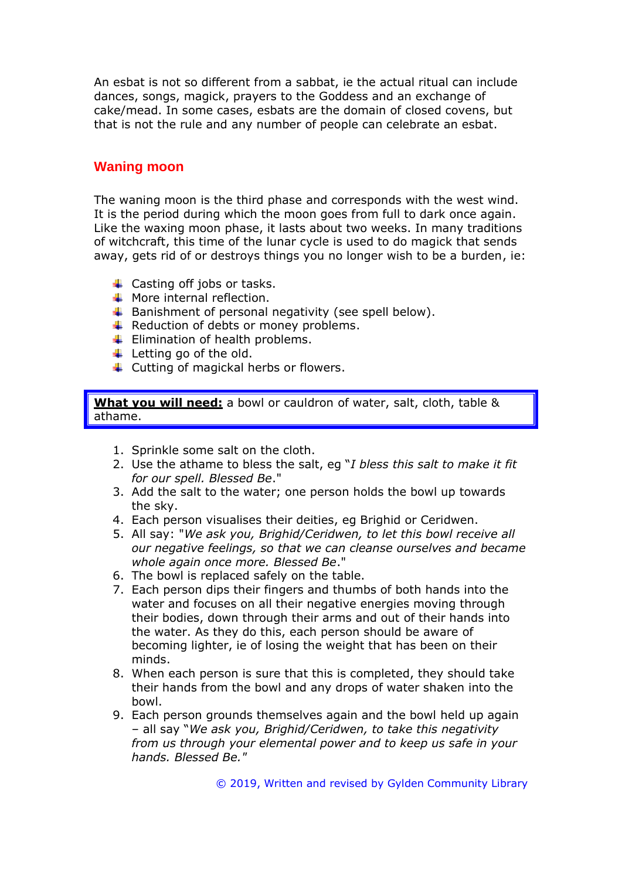An esbat is not so different from a sabbat, ie the actual ritual can include dances, songs, magick, prayers to the Goddess and an exchange of cake/mead. In some cases, esbats are the domain of closed covens, but that is not the rule and any number of people can celebrate an esbat.

### **Waning moon**

The waning moon is the third phase and corresponds with the west wind. It is the period during which the moon goes from full to dark once again. Like the waxing moon phase, it lasts about two weeks. In many traditions of witchcraft, this time of the lunar cycle is used to do magick that sends away, gets rid of or destroys things you no longer wish to be a burden, ie:

- $\leftarrow$  Casting off jobs or tasks.
- $\textcolor{red}{\textbf{4}}$  More internal reflection.
- $\ddot{+}$  Banishment of personal negativity (see spell below).
- $\overline{\text{4}}$  Reduction of debts or money problems.
- $\leftarrow$  Elimination of health problems.
- $\ddot{\bullet}$  Letting go of the old.
- $\ddot{\phantom{1}}$  Cutting of magickal herbs or flowers.

**What you will need:** a bowl or cauldron of water, salt, cloth, table & athame.

- 1. Sprinkle some salt on the cloth.
- 2. Use the athame to bless the salt, eg "*I bless this salt to make it fit for our spell. Blessed Be*."
- 3. Add the salt to the water; one person holds the bowl up towards the sky.
- 4. Each person visualises their deities, eg Brighid or Ceridwen.
- 5. All say: "*We ask you, Brighid/Ceridwen, to let this bowl receive all our negative feelings, so that we can cleanse ourselves and became whole again once more. Blessed Be*."
- 6. The bowl is replaced safely on the table.
- 7. Each person dips their fingers and thumbs of both hands into the water and focuses on all their negative energies moving through their bodies, down through their arms and out of their hands into the water. As they do this, each person should be aware of becoming lighter, ie of losing the weight that has been on their minds.
- 8. When each person is sure that this is completed, they should take their hands from the bowl and any drops of water shaken into the bowl.
- 9. Each person grounds themselves again and the bowl held up again – all say "*We ask you, Brighid/Ceridwen, to take this negativity from us through your elemental power and to keep us safe in your hands. Blessed Be."*